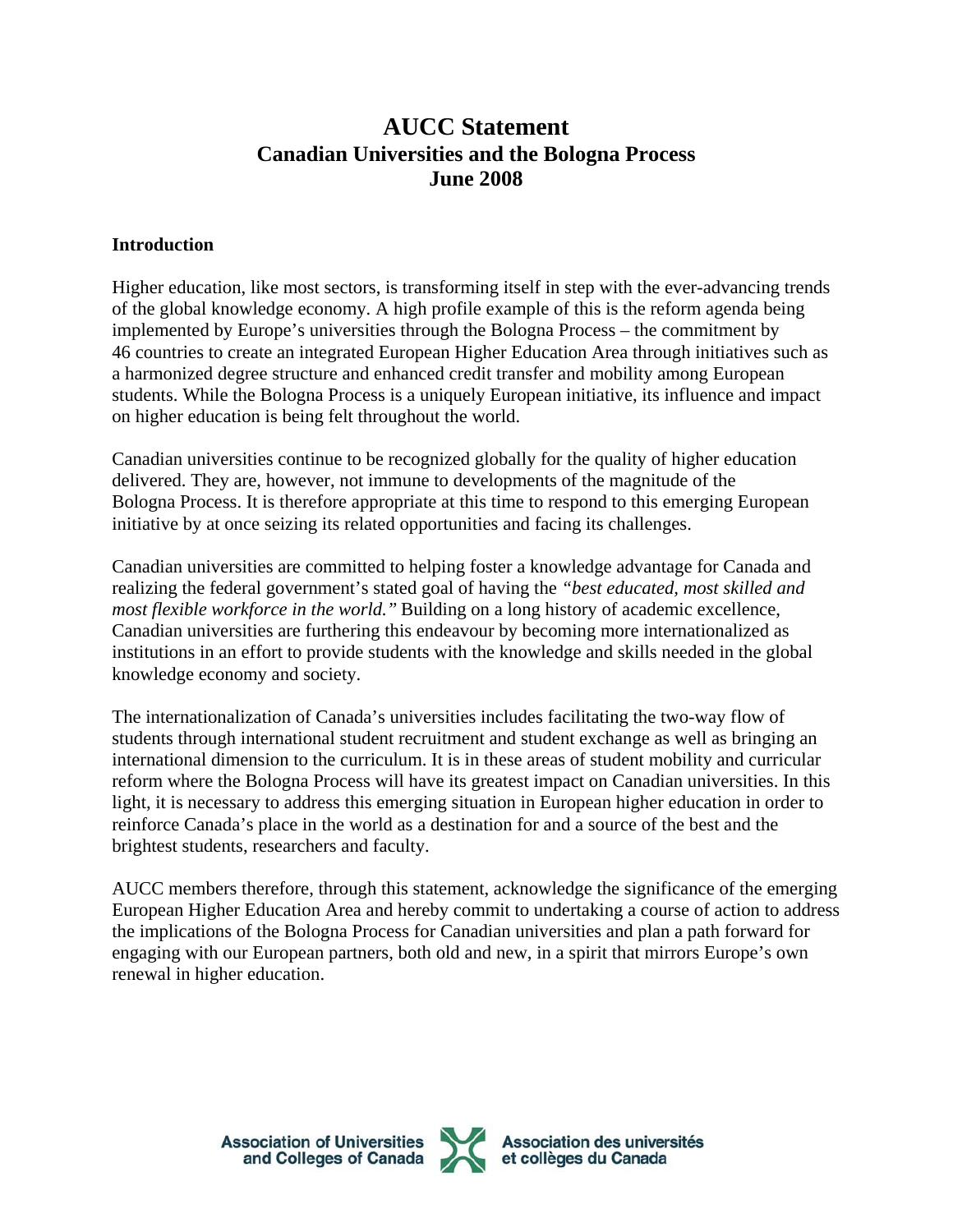## **AUCC Statement Canadian Universities and the Bologna Process June 2008**

## **Introduction**

Higher education, like most sectors, is transforming itself in step with the ever-advancing trends of the global knowledge economy. A high profile example of this is the reform agenda being implemented by Europe's universities through the Bologna Process – the commitment by 46 countries to create an integrated European Higher Education Area through initiatives such as a harmonized degree structure and enhanced credit transfer and mobility among European students. While the Bologna Process is a uniquely European initiative, its influence and impact on higher education is being felt throughout the world.

Canadian universities continue to be recognized globally for the quality of higher education delivered. They are, however, not immune to developments of the magnitude of the Bologna Process. It is therefore appropriate at this time to respond to this emerging European initiative by at once seizing its related opportunities and facing its challenges.

Canadian universities are committed to helping foster a knowledge advantage for Canada and realizing the federal government's stated goal of having the *"best educated, most skilled and most flexible workforce in the world."* Building on a long history of academic excellence, Canadian universities are furthering this endeavour by becoming more internationalized as institutions in an effort to provide students with the knowledge and skills needed in the global knowledge economy and society.

The internationalization of Canada's universities includes facilitating the two-way flow of students through international student recruitment and student exchange as well as bringing an international dimension to the curriculum. It is in these areas of student mobility and curricular reform where the Bologna Process will have its greatest impact on Canadian universities. In this light, it is necessary to address this emerging situation in European higher education in order to reinforce Canada's place in the world as a destination for and a source of the best and the brightest students, researchers and faculty.

AUCC members therefore, through this statement, acknowledge the significance of the emerging European Higher Education Area and hereby commit to undertaking a course of action to address the implications of the Bologna Process for Canadian universities and plan a path forward for engaging with our European partners, both old and new, in a spirit that mirrors Europe's own renewal in higher education.

**Association of Universities<br>and Colleges of Canada** 



Association des universités<br>et collèges du Canada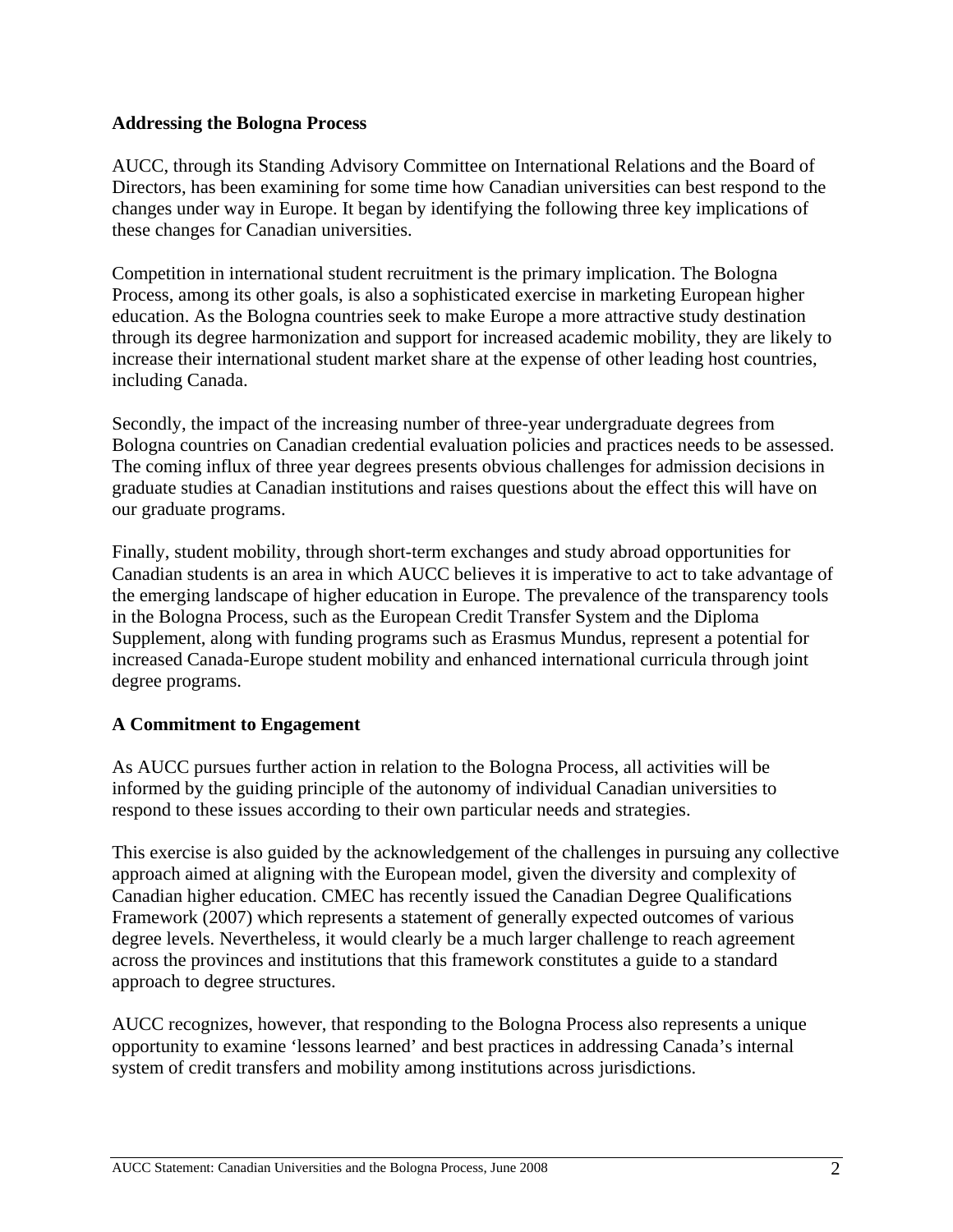## **Addressing the Bologna Process**

AUCC, through its Standing Advisory Committee on International Relations and the Board of Directors, has been examining for some time how Canadian universities can best respond to the changes under way in Europe. It began by identifying the following three key implications of these changes for Canadian universities.

Competition in international student recruitment is the primary implication. The Bologna Process, among its other goals, is also a sophisticated exercise in marketing European higher education. As the Bologna countries seek to make Europe a more attractive study destination through its degree harmonization and support for increased academic mobility, they are likely to increase their international student market share at the expense of other leading host countries, including Canada.

Secondly, the impact of the increasing number of three-year undergraduate degrees from Bologna countries on Canadian credential evaluation policies and practices needs to be assessed. The coming influx of three year degrees presents obvious challenges for admission decisions in graduate studies at Canadian institutions and raises questions about the effect this will have on our graduate programs.

Finally, student mobility, through short-term exchanges and study abroad opportunities for Canadian students is an area in which AUCC believes it is imperative to act to take advantage of the emerging landscape of higher education in Europe. The prevalence of the transparency tools in the Bologna Process, such as the European Credit Transfer System and the Diploma Supplement, along with funding programs such as Erasmus Mundus, represent a potential for increased Canada-Europe student mobility and enhanced international curricula through joint degree programs.

## **A Commitment to Engagement**

As AUCC pursues further action in relation to the Bologna Process, all activities will be informed by the guiding principle of the autonomy of individual Canadian universities to respond to these issues according to their own particular needs and strategies.

This exercise is also guided by the acknowledgement of the challenges in pursuing any collective approach aimed at aligning with the European model, given the diversity and complexity of Canadian higher education. CMEC has recently issued the Canadian Degree Qualifications Framework (2007) which represents a statement of generally expected outcomes of various degree levels. Nevertheless, it would clearly be a much larger challenge to reach agreement across the provinces and institutions that this framework constitutes a guide to a standard approach to degree structures.

AUCC recognizes, however, that responding to the Bologna Process also represents a unique opportunity to examine 'lessons learned' and best practices in addressing Canada's internal system of credit transfers and mobility among institutions across jurisdictions.